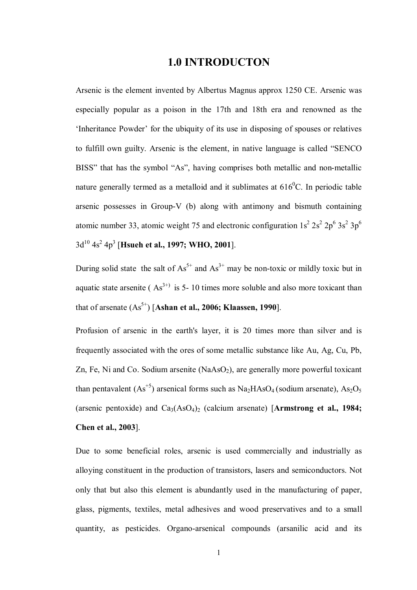## **1.0 INTRODUCTON**

Arsenic is the element invented by Albertus Magnus approx 1250 CE. Arsenic was especially popular as a poison in the 17th and 18th era and renowned as the 'Inheritance Powder' for the ubiquity of its use in disposing of spouses or relatives to fulfill own guilty. Arsenic is the element, in native language is called "SENCO BISS" that has the symbol "As", having comprises both metallic and non-metallic nature generally termed as a metalloid and it sublimates at  $616^{\circ}$ C. In periodic table arsenic possesses in Group-V (b) along with antimony and bismuth containing atomic number 33, atomic weight 75 and electronic configuration  $1s^2 2s^2 2p^6 3s^2 3p^6$ 3d<sup>10</sup> 4s<sup>2</sup> 4p<sup>3</sup> [**Hsueh et al., 1997; WHO, 2001**].

During solid state the salt of  $As^{5+}$  and  $As^{3+}$  may be non-toxic or mildly toxic but in aquatic state arsenite ( $As<sup>3+</sup>$ ) is 5-10 times more soluble and also more toxicant than that of arsenate  $(As<sup>5+</sup>)$  [Ashan et al., 2006; Klaassen, 1990].

Profusion of arsenic in the earth's layer, it is 20 times more than silver and is frequently associated with the ores of some metallic substance like Au, Ag, Cu, Pb, Zn, Fe, Ni and Co. Sodium arsenite  $(NaAsO<sub>2</sub>)$ , are generally more powerful toxicant than pentavalent  $(As^{+5})$  arsenical forms such as Na<sub>2</sub>HAsO<sub>4</sub> (sodium arsenate), As<sub>2</sub>O<sub>5</sub> (arsenic pentoxide) and Ca<sub>3</sub>(AsO<sub>4</sub>)<sub>2</sub> (calcium arsenate) [Armstrong et al., 1984; **Chen et al., 2003**].

Due to some beneficial roles, arsenic is used commercially and industrially as alloying constituent in the production of transistors, lasers and semiconductors. Not only that but also this element is abundantly used in the manufacturing of paper, glass, pigments, textiles, metal adhesives and wood preservatives and to a small quantity, as pesticides. Organo-arsenical compounds (arsanilic acid and its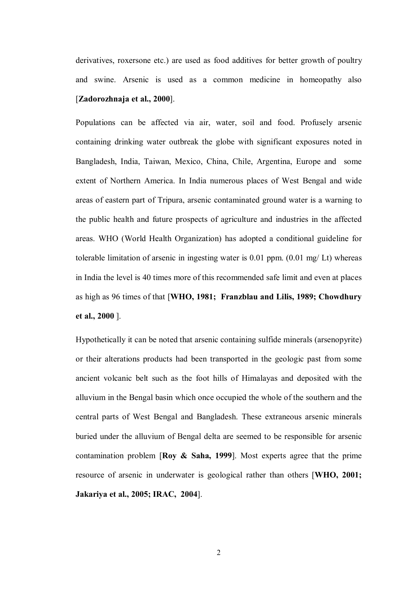derivatives, roxersone etc.) are used as food additives for better growth of poultry and swine. Arsenic is used as a common medicine in homeopathy also [**Zadorozhnaja et al., 2000**].

Populations can be affected via air, water, soil and food. Profusely arsenic containing drinking water outbreak the globe with significant exposures noted in Bangladesh, India, Taiwan, Mexico, China, Chile, Argentina, Europe and some extent of Northern America. In India numerous places of West Bengal and wide areas of eastern part of Tripura, arsenic contaminated ground water is a warning to the public health and future prospects of agriculture and industries in the affected areas. WHO (World Health Organization) has adopted a conditional guideline for tolerable limitation of arsenic in ingesting water is 0.01 ppm. (0.01 mg/ Lt) whereas in India the level is 40 times more of this recommended safe limit and even at places as high as 96 times of that [**WHO, 1981; Franzblau and Lilis, 1989; Chowdhury et al., 2000** ].

Hypothetically it can be noted that arsenic containing sulfide minerals (arsenopyrite) or their alterations products had been transported in the geologic past from some ancient volcanic belt such as the foot hills of Himalayas and deposited with the alluvium in the Bengal basin which once occupied the whole of the southern and the central parts of West Bengal and Bangladesh. These extraneous arsenic minerals buried under the alluvium of Bengal delta are seemed to be responsible for arsenic contamination problem [**Roy & Saha, 1999**]. Most experts agree that the prime resource of arsenic in underwater is geological rather than others [**WHO, 2001; Jakariya et al., 2005; IRAC, 2004**].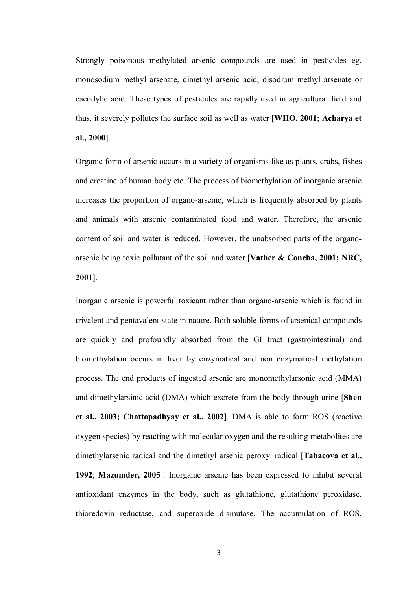Strongly poisonous methylated arsenic compounds are used in pesticides eg. monosodium methyl arsenate, dimethyl arsenic acid, disodium methyl arsenate or cacodylic acid. These types of pesticides are rapidly used in agricultural field and thus, it severely pollutes the surface soil as well as water [**WHO, 2001; Acharya et al., 2000**].

Organic form of arsenic occurs in a variety of organisms like as plants, crabs, fishes and creatine of human body etc. The process of biomethylation of inorganic arsenic increases the proportion of organo-arsenic, which is frequently absorbed by plants and animals with arsenic contaminated food and water. Therefore, the arsenic content of soil and water is reduced. However, the unabsorbed parts of the organoarsenic being toxic pollutant of the soil and water [**Vather & Concha, 2001; NRC, 2001**].

Inorganic arsenic is powerful toxicant rather than organo-arsenic which is found in trivalent and pentavalent state in nature. Both soluble forms of arsenical compounds are quickly and profoundly absorbed from the GI tract (gastrointestinal) and biomethylation occurs in liver by enzymatical and non enzymatical methylation process. The end products of ingested arsenic are monomethylarsonic acid (MMA) and dimethylarsinic acid (DMA) which excrete from the body through urine [**Shen et al., 2003; Chattopadhyay et al., 2002**]. DMA is able to form ROS (reactive oxygen species) by reacting with molecular oxygen and the resulting metabolites are dimethylarsenic radical and the dimethyl arsenic peroxyl radical [**Tabacova et al., 1992**; **Mazumder, 2005**]. Inorganic arsenic has been expressed to inhibit several antioxidant enzymes in the body, such as glutathione, glutathione peroxidase, thioredoxin reductase, and superoxide dismutase. The accumulation of ROS,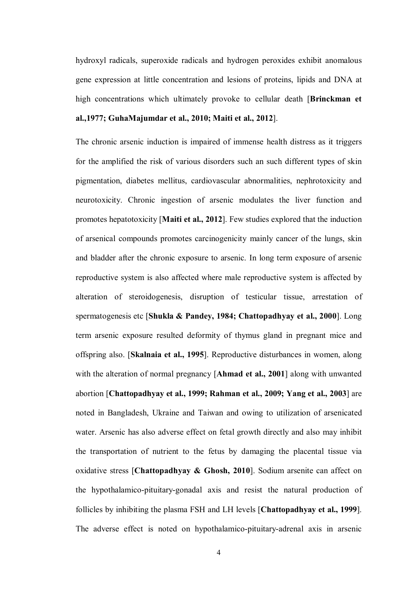hydroxyl radicals, superoxide radicals and hydrogen peroxides exhibit anomalous gene expression at little concentration and lesions of proteins, lipids and DNA at high concentrations which ultimately provoke to cellular death [**Brinckman et al.,1977; GuhaMajumdar et al., 2010; Maiti et al., 2012**].

The chronic arsenic induction is impaired of immense health distress as it triggers for the amplified the risk of various disorders such an such different types of skin pigmentation, diabetes mellitus, cardiovascular abnormalities, nephrotoxicity and neurotoxicity. Chronic ingestion of arsenic modulates the liver function and promotes hepatotoxicity [**Maiti et al., 2012**]. Few studies explored that the induction of arsenical compounds promotes carcinogenicity mainly cancer of the lungs, skin and bladder after the chronic exposure to arsenic. In long term exposure of arsenic reproductive system is also affected where male reproductive system is affected by alteration of steroidogenesis, disruption of testicular tissue, arrestation of spermatogenesis etc [**Shukla & Pandey, 1984; Chattopadhyay et al., 2000**]. Long term arsenic exposure resulted deformity of thymus gland in pregnant mice and offspring also. [**Skalnaia et al., 1995**]. Reproductive disturbances in women, along with the alteration of normal pregnancy [**Ahmad et al., 2001**] along with unwanted abortion [**Chattopadhyay et al., 1999; Rahman et al., 2009; Yang et al., 2003**] are noted in Bangladesh, Ukraine and Taiwan and owing to utilization of arsenicated water. Arsenic has also adverse effect on fetal growth directly and also may inhibit the transportation of nutrient to the fetus by damaging the placental tissue via oxidative stress [**Chattopadhyay & Ghosh, 2010**]. Sodium arsenite can affect on the hypothalamico-pituitary-gonadal axis and resist the natural production of follicles by inhibiting the plasma FSH and LH levels [**Chattopadhyay et al., 1999**]. The adverse effect is noted on hypothalamico-pituitary-adrenal axis in arsenic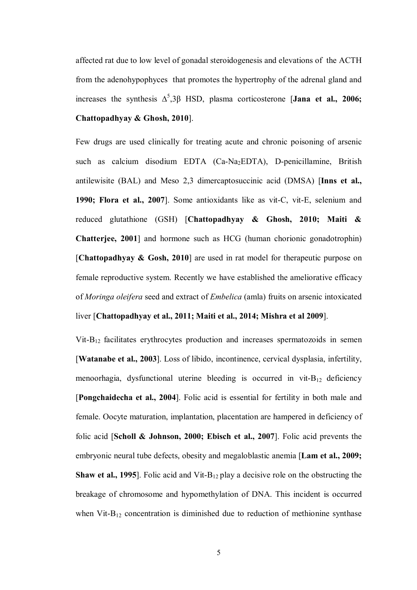affected rat due to low level of gonadal steroidogenesis and elevations of the ACTH from the adenohypophyces that promotes the hypertrophy of the adrenal gland and increases the synthesis  $\Delta^5$ ,3 $\beta$  HSD, plasma corticosterone [**Jana et al., 2006; Chattopadhyay & Ghosh, 2010**].

Few drugs are used clinically for treating acute and chronic poisoning of arsenic such as calcium disodium EDTA (Ca-Na2EDTA), D-penicillamine, British antilewisite (BAL) and Meso 2,3 dimercaptosuccinic acid (DMSA) [**Inns et al., 1990; Flora et al., 2007**]. Some antioxidants like as vit-C, vit-E, selenium and reduced glutathione (GSH) [**Chattopadhyay & Ghosh, 2010; Maiti & Chatterjee, 2001**] and hormone such as HCG (human chorionic gonadotrophin) [**Chattopadhyay & Gosh, 2010**] are used in rat model for therapeutic purpose on female reproductive system. Recently we have established the ameliorative efficacy of *Moringa oleifera* seed and extract of *Embelica* (amla) fruits on arsenic intoxicated liver [**Chattopadhyay et al., 2011; Maiti et al., 2014; Mishra et al 2009**].

 $V$ it-B<sub>12</sub> facilitates erythrocytes production and increases spermatozoids in semen [**Watanabe et al., 2003**]. Loss of libido, incontinence, cervical dysplasia, infertility, menoorhagia, dysfunctional uterine bleeding is occurred in vit- $B_{12}$  deficiency [**Pongchaidecha et al., 2004**]. Folic acid is essential for fertility in both male and female. Oocyte maturation, implantation, placentation are hampered in deficiency of folic acid [**Scholl & Johnson, 2000; Ebisch et al., 2007**]. Folic acid prevents the embryonic neural tube defects, obesity and megaloblastic anemia [**Lam et al., 2009; Shaw et al., 1995**]. Folic acid and Vit- $B_{12}$  play a decisive role on the obstructing the breakage of chromosome and hypomethylation of DNA. This incident is occurred when Vit-B<sub>12</sub> concentration is diminished due to reduction of methionine synthase